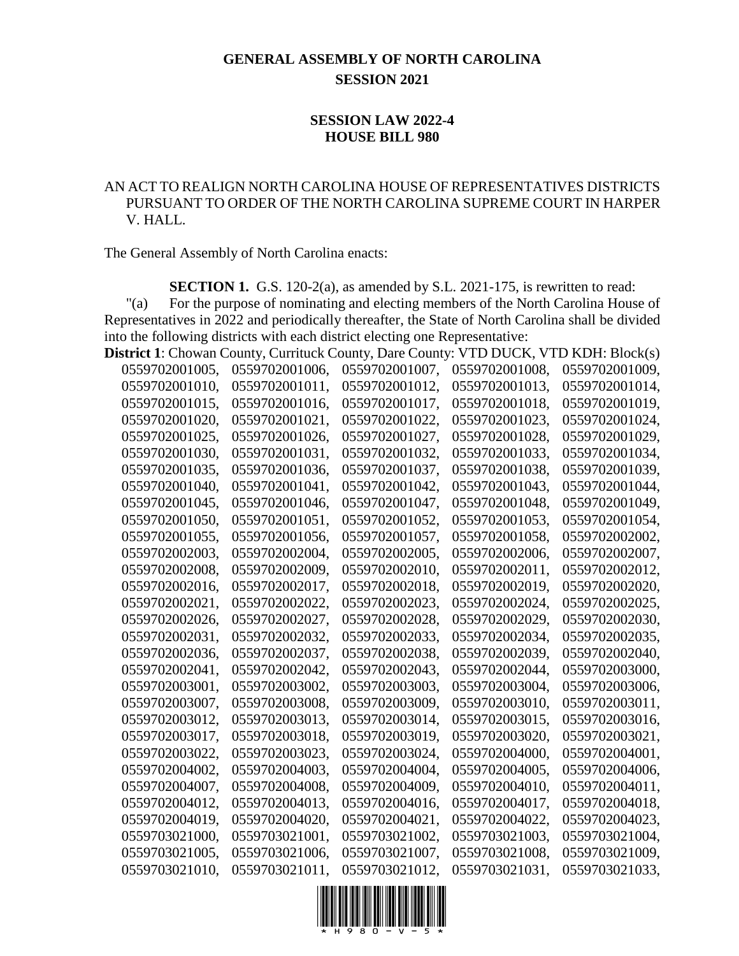## **GENERAL ASSEMBLY OF NORTH CAROLINA SESSION 2021**

## **SESSION LAW 2022-4 HOUSE BILL 980**

## AN ACT TO REALIGN NORTH CAROLINA HOUSE OF REPRESENTATIVES DISTRICTS PURSUANT TO ORDER OF THE NORTH CAROLINA SUPREME COURT IN HARPER V. HALL.

The General Assembly of North Carolina enacts:

**SECTION 1.** G.S. 120-2(a), as amended by S.L. 2021-175, is rewritten to read:

"(a) For the purpose of nominating and electing members of the North Carolina House of Representatives in 2022 and periodically thereafter, the State of North Carolina shall be divided into the following districts with each district electing one Representative:

| <b>District 1:</b> Chowan County, Currituck County, Dare County: |                |                |                | VTD DUCK, VTD KDH: Block(s) |
|------------------------------------------------------------------|----------------|----------------|----------------|-----------------------------|
| 0559702001005,                                                   | 0559702001006, | 0559702001007, | 0559702001008, | 0559702001009,              |
| 0559702001010,                                                   | 0559702001011, | 0559702001012, | 0559702001013, | 0559702001014,              |
| 0559702001015,                                                   | 0559702001016, | 0559702001017, | 0559702001018, | 0559702001019,              |
| 0559702001020,                                                   | 0559702001021, | 0559702001022, | 0559702001023, | 0559702001024,              |
| 0559702001025,                                                   | 0559702001026, | 0559702001027, | 0559702001028, | 0559702001029,              |
| 0559702001030,                                                   | 0559702001031, | 0559702001032, | 0559702001033, | 0559702001034,              |
| 0559702001035,                                                   | 0559702001036, | 0559702001037, | 0559702001038, | 0559702001039,              |
| 0559702001040,                                                   | 0559702001041, | 0559702001042, | 0559702001043, | 0559702001044,              |
| 0559702001045,                                                   | 0559702001046, | 0559702001047, | 0559702001048, | 0559702001049,              |
| 0559702001050,                                                   | 0559702001051, | 0559702001052, | 0559702001053, | 0559702001054,              |
| 0559702001055,                                                   | 0559702001056, | 0559702001057, | 0559702001058, | 0559702002002,              |
| 0559702002003,                                                   | 0559702002004, | 0559702002005, | 0559702002006, | 0559702002007.              |
| 0559702002008,                                                   | 0559702002009, | 0559702002010, | 0559702002011, | 0559702002012,              |
| 0559702002016,                                                   | 0559702002017, | 0559702002018, | 0559702002019, | 0559702002020.              |
| 0559702002021,                                                   | 0559702002022, | 0559702002023, | 0559702002024, | 0559702002025,              |
| 0559702002026,                                                   | 0559702002027, | 0559702002028, | 0559702002029, | 0559702002030,              |
| 0559702002031,                                                   | 0559702002032, | 0559702002033, | 0559702002034, | 0559702002035,              |
| 0559702002036,                                                   | 0559702002037, | 0559702002038, | 0559702002039, | 0559702002040,              |
| 0559702002041,                                                   | 0559702002042, | 0559702002043, | 0559702002044, | 0559702003000,              |
| 0559702003001,                                                   | 0559702003002, | 0559702003003, | 0559702003004, | 0559702003006,              |
| 0559702003007,                                                   | 0559702003008, | 0559702003009, | 0559702003010, | 0559702003011,              |
| 0559702003012,                                                   | 0559702003013, | 0559702003014, | 0559702003015, | 0559702003016,              |
| 0559702003017,                                                   | 0559702003018, | 0559702003019, | 0559702003020, | 0559702003021,              |
| 0559702003022.                                                   | 0559702003023, | 0559702003024, | 0559702004000, | 0559702004001,              |
| 0559702004002,                                                   | 0559702004003, | 0559702004004, | 0559702004005, | 0559702004006,              |
| 0559702004007,                                                   | 0559702004008, | 0559702004009, | 0559702004010, | 0559702004011,              |
| 0559702004012,                                                   | 0559702004013. | 0559702004016, | 0559702004017, | 0559702004018,              |
| 0559702004019,                                                   | 0559702004020, | 0559702004021, | 0559702004022, | 0559702004023,              |
| 0559703021000,                                                   | 0559703021001, | 0559703021002, | 0559703021003, | 0559703021004,              |
| 0559703021005,                                                   | 0559703021006, | 0559703021007, | 0559703021008, | 0559703021009,              |
| 0559703021010,                                                   | 0559703021011, | 0559703021012, | 0559703021031, | 0559703021033,              |

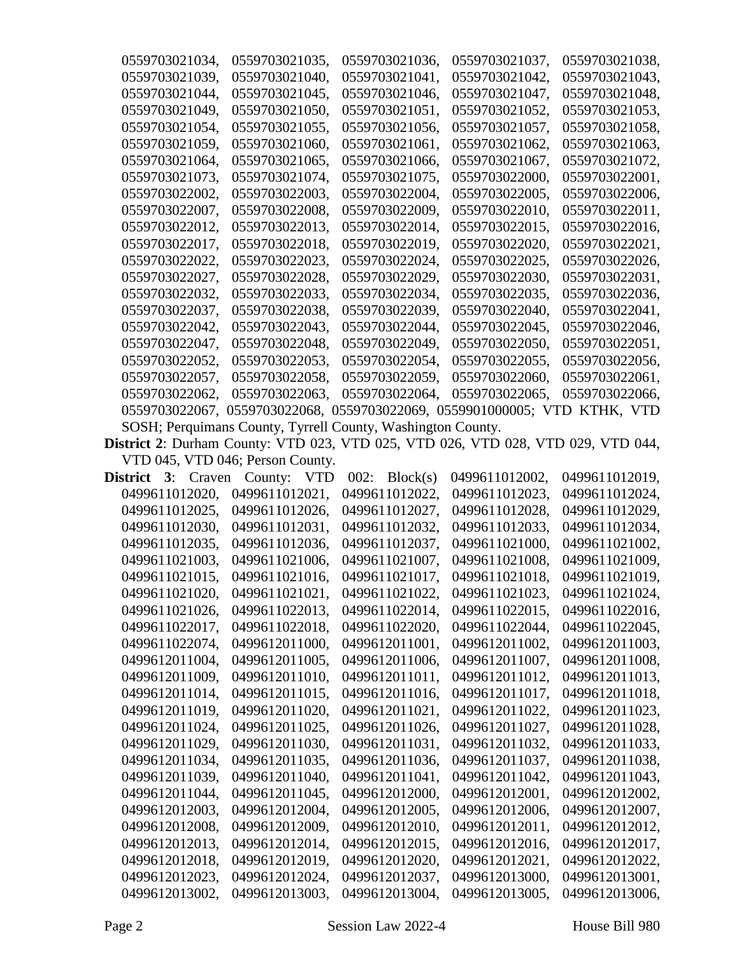| 0559703021034,            | 0559703021035,                                                                   | 0559703021036,   | 0559703021037, | 0559703021038, |
|---------------------------|----------------------------------------------------------------------------------|------------------|----------------|----------------|
| 0559703021039,            | 0559703021040,                                                                   | 0559703021041.   | 0559703021042, | 0559703021043, |
| 0559703021044,            | 0559703021045,                                                                   | 0559703021046,   | 0559703021047, | 0559703021048, |
| 0559703021049,            | 0559703021050,                                                                   | 0559703021051,   | 0559703021052, | 0559703021053, |
| 0559703021054,            | 0559703021055,                                                                   | 0559703021056,   | 0559703021057, | 0559703021058, |
| 0559703021059,            | 0559703021060,                                                                   | 0559703021061,   | 0559703021062, | 0559703021063, |
| 0559703021064,            | 0559703021065,                                                                   | 0559703021066,   | 0559703021067, | 0559703021072, |
| 0559703021073,            | 0559703021074,                                                                   | 0559703021075,   | 0559703022000, | 0559703022001, |
| 0559703022002,            | 0559703022003,                                                                   | 0559703022004,   | 0559703022005, | 0559703022006, |
| 0559703022007.            | 0559703022008,                                                                   | 0559703022009,   | 0559703022010, | 0559703022011, |
| 0559703022012,            | 0559703022013,                                                                   | 0559703022014,   | 0559703022015, | 0559703022016, |
| 0559703022017,            | 0559703022018,                                                                   | 0559703022019,   | 0559703022020, | 0559703022021, |
| 0559703022022,            | 0559703022023,                                                                   | 0559703022024,   | 0559703022025, | 0559703022026, |
| 0559703022027,            | 0559703022028,                                                                   | 0559703022029,   | 0559703022030, | 0559703022031, |
| 0559703022032,            | 0559703022033,                                                                   | 0559703022034,   | 0559703022035, | 0559703022036, |
| 0559703022037,            | 0559703022038,                                                                   | 0559703022039,   | 0559703022040, | 0559703022041, |
| 0559703022042,            | 0559703022043,                                                                   | 0559703022044,   | 0559703022045, | 0559703022046, |
| 0559703022047,            | 0559703022048,                                                                   | 0559703022049,   | 0559703022050, | 0559703022051, |
| 0559703022052.            | 0559703022053,                                                                   | 0559703022054,   | 0559703022055, | 0559703022056. |
| 0559703022057,            | 0559703022058,                                                                   | 0559703022059,   | 0559703022060, | 0559703022061, |
| 0559703022062,            | 0559703022063,                                                                   | 0559703022064,   | 0559703022065, | 0559703022066, |
|                           | 0559703022067, 0559703022068, 0559703022069, 0559901000005; VTD KTHK, VTD        |                  |                |                |
|                           | SOSH; Perquimans County, Tyrrell County, Washington County.                      |                  |                |                |
|                           | District 2: Durham County: VTD 023, VTD 025, VTD 026, VTD 028, VTD 029, VTD 044, |                  |                |                |
|                           | VTD 045, VTD 046; Person County.                                                 |                  |                |                |
| <b>District 3:</b> Craven | County: VTD                                                                      | 002:<br>Block(s) | 0499611012002, | 0499611012019, |
| 0499611012020,            | 0499611012021,                                                                   | 0499611012022,   | 0499611012023, | 0499611012024, |
| 0499611012025,            | 0499611012026,                                                                   | 0499611012027,   | 0499611012028, | 0499611012029, |
| 0499611012030,            | 0499611012031,                                                                   | 0499611012032,   | 0499611012033, | 0499611012034, |
| 0499611012035,            | 0499611012036,                                                                   | 0499611012037,   | 0499611021000, | 0499611021002, |
| 0499611021003,            | 0499611021006,                                                                   | 0499611021007.   | 0499611021008, | 0499611021009, |
| 0499611021015,            | 0499611021016,                                                                   | 0499611021017,   | 0499611021018, | 0499611021019, |
| 0499611021020,            | 0499611021021,                                                                   | 0499611021022,   | 0499611021023, | 0499611021024, |
| 0499611021026,            | 0499611022013,                                                                   | 0499611022014,   | 0499611022015, | 0499611022016, |
| 0499611022017,            | 0499611022018,                                                                   | 0499611022020,   | 0499611022044, | 0499611022045, |
| 0499611022074,            | 0499612011000,                                                                   | 0499612011001,   | 0499612011002, | 0499612011003, |
| 0499612011004,            | 0499612011005,                                                                   | 0499612011006,   | 0499612011007, | 0499612011008, |
| 0499612011009,            | 0499612011010,                                                                   | 0499612011011,   | 0499612011012, | 0499612011013, |
| 0499612011014,            | 0499612011015,                                                                   | 0499612011016,   | 0499612011017, | 0499612011018, |
| 0499612011019,            | 0499612011020,                                                                   | 0499612011021,   | 0499612011022, | 0499612011023, |
| 0499612011024,            | 0499612011025,                                                                   | 0499612011026,   | 0499612011027, | 0499612011028, |
| 0499612011029,            | 0499612011030,                                                                   | 0499612011031,   | 0499612011032, | 0499612011033, |
| 0499612011034,            | 0499612011035,                                                                   | 0499612011036,   | 0499612011037, | 0499612011038, |
| 0499612011039,            | 0499612011040,                                                                   | 0499612011041,   | 0499612011042, | 0499612011043, |
| 0499612011044,            | 0499612011045,                                                                   | 0499612012000,   | 0499612012001, | 0499612012002, |
| 0499612012003,            | 0499612012004,                                                                   | 0499612012005,   | 0499612012006, | 0499612012007, |
| 0499612012008,            | 0499612012009,                                                                   | 0499612012010,   | 0499612012011, | 0499612012012, |
| 0499612012013,            | 0499612012014,                                                                   | 0499612012015,   | 0499612012016, | 0499612012017, |
| 0499612012018,            | 0499612012019,                                                                   | 0499612012020,   | 0499612012021, | 0499612012022, |
| 0499612012023,            | 0499612012024,                                                                   | 0499612012037,   | 0499612013000, | 0499612013001, |
| 0499612013002,            | 0499612013003,                                                                   | 0499612013004,   | 0499612013005, | 0499612013006, |
|                           |                                                                                  |                  |                |                |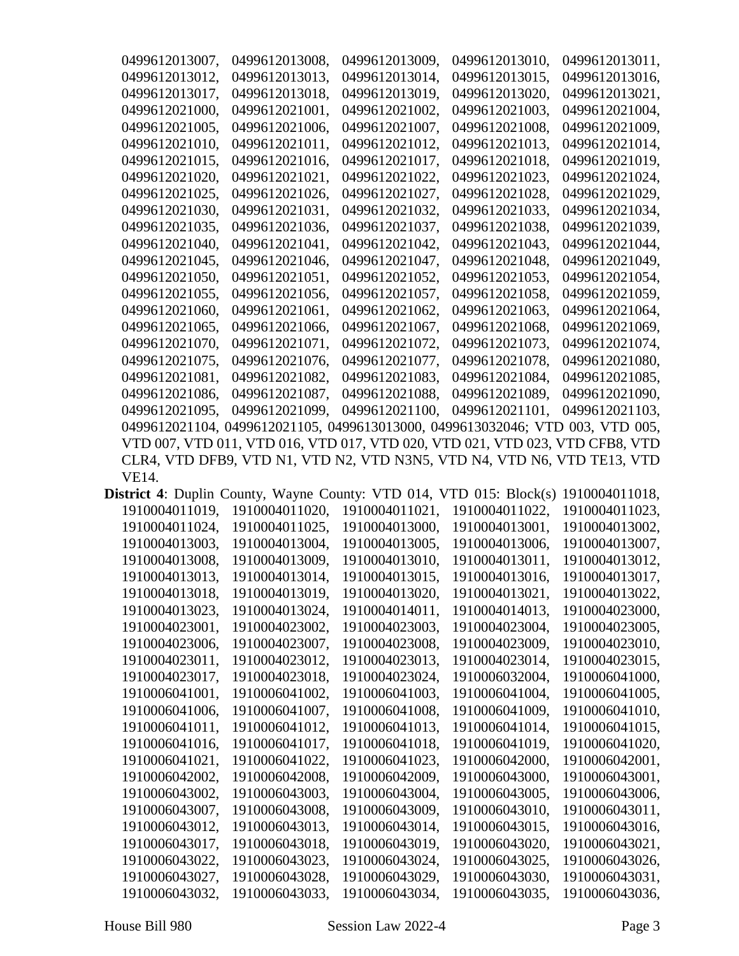| 0499612013007, | 0499612013008,                                                                                                                                                                 | 0499612013009. | 0499612013010, | 0499612013011, |
|----------------|--------------------------------------------------------------------------------------------------------------------------------------------------------------------------------|----------------|----------------|----------------|
| 0499612013012. | 0499612013013.                                                                                                                                                                 | 0499612013014, | 0499612013015, | 0499612013016, |
| 0499612013017. | 0499612013018.                                                                                                                                                                 | 0499612013019, | 0499612013020, | 0499612013021, |
| 0499612021000, | 0499612021001,                                                                                                                                                                 | 0499612021002. | 0499612021003. | 0499612021004, |
| 0499612021005, | 0499612021006,                                                                                                                                                                 | 0499612021007. | 0499612021008. | 0499612021009. |
| 0499612021010, | 0499612021011,                                                                                                                                                                 | 0499612021012, | 0499612021013, | 0499612021014, |
| 0499612021015. | 0499612021016.                                                                                                                                                                 | 0499612021017, | 0499612021018. | 0499612021019. |
| 0499612021020, | 0499612021021,                                                                                                                                                                 | 0499612021022, | 0499612021023. | 0499612021024, |
| 0499612021025, | 0499612021026,                                                                                                                                                                 | 0499612021027, | 0499612021028, | 0499612021029. |
| 0499612021030, | 0499612021031,                                                                                                                                                                 | 0499612021032. | 0499612021033. | 0499612021034, |
| 0499612021035, | 0499612021036,                                                                                                                                                                 | 0499612021037, | 0499612021038. | 0499612021039. |
| 0499612021040, | 0499612021041,                                                                                                                                                                 | 0499612021042, | 0499612021043, | 0499612021044, |
| 0499612021045. | 0499612021046,                                                                                                                                                                 | 0499612021047. | 0499612021048, | 0499612021049, |
| 0499612021050, | 0499612021051,                                                                                                                                                                 | 0499612021052. | 0499612021053. | 0499612021054, |
| 0499612021055, | 0499612021056.                                                                                                                                                                 | 0499612021057, | 0499612021058, | 0499612021059. |
| 0499612021060, | 0499612021061,                                                                                                                                                                 | 0499612021062, | 0499612021063, | 0499612021064, |
| 0499612021065, | 0499612021066.                                                                                                                                                                 | 0499612021067, | 0499612021068. | 0499612021069. |
| 0499612021070, | 0499612021071,                                                                                                                                                                 | 0499612021072, | 0499612021073. | 0499612021074, |
| 0499612021075. | 0499612021076,                                                                                                                                                                 | 0499612021077. | 0499612021078, | 0499612021080, |
| 0499612021081, | 0499612021082.                                                                                                                                                                 | 0499612021083. | 0499612021084, | 0499612021085. |
| 0499612021086, | 0499612021087,                                                                                                                                                                 | 0499612021088, | 0499612021089, | 0499612021090, |
| 0499612021095, | 0499612021099,                                                                                                                                                                 | 0499612021100. | 0499612021101. | 0499612021103, |
|                | 0499612021104, 0499612021105, 0499613013000, 0499613032046; VTD 003, VTD 005,                                                                                                  |                |                |                |
|                | VTD 007, VTD 011, VTD 016, VTD 017, VTD 020, VTD 021, VTD 023, VTD CFB8, VTD                                                                                                   |                |                |                |
|                | CLR4, VTD DFB9, VTD N1, VTD N2, VTD N3N5, VTD N4, VTD N6, VTD TE13, VTD                                                                                                        |                |                |                |
| VE14.          |                                                                                                                                                                                |                |                |                |
|                | $\sum_{i=1}^n \frac{1}{n}$ $\int_{\mathbb{R}^n} N(x)dx$ $\int_{\mathbb{R}^n} \frac{1}{n} \int_{\mathbb{R}^n} N(x)dx$ $\int_{\mathbb{R}^n} N(x)dx$ $\int_{\mathbb{R}^n} N(x)dx$ |                |                |                |

|                |                |                | <b>District 4:</b> Duplin County, Wayne County: VTD 014, VTD 015: Block(s) | 1910004011018. |
|----------------|----------------|----------------|----------------------------------------------------------------------------|----------------|
| 1910004011019, | 1910004011020, | 1910004011021. | 1910004011022.                                                             | 1910004011023. |
| 1910004011024, | 1910004011025. | 1910004013000, | 1910004013001,                                                             | 1910004013002. |
| 1910004013003, | 1910004013004, | 1910004013005, | 1910004013006,                                                             | 1910004013007, |
| 1910004013008. | 1910004013009. | 1910004013010. | 1910004013011.                                                             | 1910004013012. |
| 1910004013013, | 1910004013014, | 1910004013015, | 1910004013016.                                                             | 1910004013017, |
| 1910004013018, | 1910004013019, | 1910004013020, | 1910004013021,                                                             | 1910004013022. |
| 1910004013023. | 1910004013024, | 1910004014011, | 1910004014013.                                                             | 1910004023000, |
| 1910004023001, | 1910004023002, | 1910004023003. | 1910004023004,                                                             | 1910004023005, |
| 1910004023006, | 1910004023007, | 1910004023008, | 1910004023009.                                                             | 1910004023010, |
| 1910004023011, | 1910004023012, | 1910004023013, | 1910004023014,                                                             | 1910004023015, |
| 1910004023017. | 1910004023018. | 1910004023024. | 1910006032004.                                                             | 1910006041000. |
| 1910006041001, | 1910006041002. | 1910006041003. | 1910006041004,                                                             | 1910006041005. |
| 1910006041006. | 1910006041007, | 1910006041008. | 1910006041009.                                                             | 1910006041010. |
| 1910006041011. | 1910006041012, | 1910006041013. | 1910006041014,                                                             | 1910006041015. |
| 1910006041016. | 1910006041017. | 1910006041018. | 1910006041019.                                                             | 1910006041020. |
| 1910006041021, | 1910006041022. | 1910006041023. | 1910006042000,                                                             | 1910006042001, |
| 1910006042002. | 1910006042008, | 1910006042009, | 1910006043000,                                                             | 1910006043001, |
| 1910006043002, | 1910006043003, | 1910006043004, | 1910006043005,                                                             | 1910006043006, |
| 1910006043007, | 1910006043008. | 1910006043009. | 1910006043010.                                                             | 1910006043011, |
| 1910006043012, | 1910006043013. | 1910006043014, | 1910006043015.                                                             | 1910006043016. |
| 1910006043017, | 1910006043018, | 1910006043019, | 1910006043020,                                                             | 1910006043021, |
| 1910006043022, | 1910006043023, | 1910006043024, | 1910006043025,                                                             | 1910006043026, |
| 1910006043027, | 1910006043028. | 1910006043029. | 1910006043030,                                                             | 1910006043031, |
| 1910006043032, | 1910006043033. | 1910006043034, | 1910006043035,                                                             | 1910006043036, |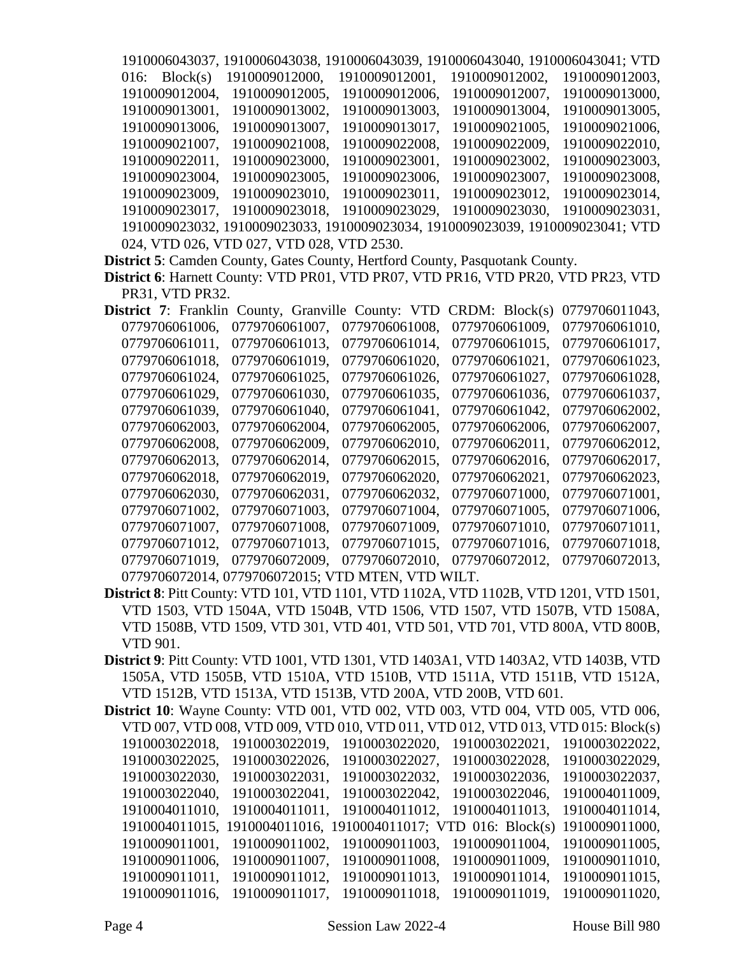1910006043037, 1910006043038, 1910006043039, 1910006043040, 1910006043041; VTD 016: Block(s) 1910009012000, 1910009012001, 1910009012002, 1910009012003, 1910009012004, 1910009012005, 1910009012006, 1910009012007, 1910009013000, 1910009013001, 1910009013002, 1910009013003, 1910009013004, 1910009013005, 1910009013006, 1910009013007, 1910009013017, 1910009021005, 1910009021006, 1910009021007, 1910009021008, 1910009022008, 1910009022009, 1910009022010, 1910009022011, 1910009023000, 1910009023001, 1910009023002, 1910009023003, 1910009023004, 1910009023005, 1910009023006, 1910009023007, 1910009023008, 1910009023009, 1910009023010, 1910009023011, 1910009023012, 1910009023014, 1910009023017, 1910009023018, 1910009023029, 1910009023030, 1910009023031, 1910009023032, 1910009023033, 1910009023034, 1910009023039, 1910009023041; VTD 024, VTD 026, VTD 027, VTD 028, VTD 2530. **District 5**: Camden County, Gates County, Hertford County, Pasquotank County. **District 6**: Harnett County: VTD PR01, VTD PR07, VTD PR16, VTD PR20, VTD PR23, VTD PR31, VTD PR32. **District 7:** Franklin County, Granville County: VTD CRDM: Block(s) 0779706011043, 0779706061006, 0779706061007, 0779706061008, 0779706061009, 0779706061010, 0779706061011, 0779706061013, 0779706061014, 0779706061015, 0779706061017, 0779706061018, 0779706061019, 0779706061020, 0779706061021, 0779706061023, 0779706061024, 0779706061025, 0779706061026, 0779706061027, 0779706061028, 0779706061029, 0779706061030, 0779706061035, 0779706061036, 0779706061037, 0779706061039, 0779706061040, 0779706061041, 0779706061042, 0779706062002, 0779706062003, 0779706062004, 0779706062005, 0779706062006, 0779706062007, 0779706062008, 0779706062009, 0779706062010, 0779706062011, 0779706062012, 0779706062013, 0779706062014, 0779706062015, 0779706062016, 0779706062017, 0779706062018, 0779706062019, 0779706062020, 0779706062021, 0779706062023, 0779706062030, 0779706062031, 0779706062032, 0779706071000, 0779706071001, 0779706071002, 0779706071003, 0779706071004, 0779706071005, 0779706071006, 0779706071007, 0779706071008, 0779706071009, 0779706071010, 0779706071011,

0779706071012, 0779706071013, 0779706071015, 0779706071016, 0779706071018, 0779706071019, 0779706072009, 0779706072010, 0779706072012, 0779706072013, 0779706072014, 0779706072015; VTD MTEN, VTD WILT.

- **District 8**: Pitt County: VTD 101, VTD 1101, VTD 1102A, VTD 1102B, VTD 1201, VTD 1501, VTD 1503, VTD 1504A, VTD 1504B, VTD 1506, VTD 1507, VTD 1507B, VTD 1508A, VTD 1508B, VTD 1509, VTD 301, VTD 401, VTD 501, VTD 701, VTD 800A, VTD 800B, VTD 901.
- **District 9**: Pitt County: VTD 1001, VTD 1301, VTD 1403A1, VTD 1403A2, VTD 1403B, VTD 1505A, VTD 1505B, VTD 1510A, VTD 1510B, VTD 1511A, VTD 1511B, VTD 1512A, VTD 1512B, VTD 1513A, VTD 1513B, VTD 200A, VTD 200B, VTD 601.
- **District 10**: Wayne County: VTD 001, VTD 002, VTD 003, VTD 004, VTD 005, VTD 006, VTD 007, VTD 008, VTD 009, VTD 010, VTD 011, VTD 012, VTD 013, VTD 015: Block(s) 1910003022018, 1910003022019, 1910003022020, 1910003022021, 1910003022022, 1910003022025, 1910003022026, 1910003022027, 1910003022028, 1910003022029, 1910003022030, 1910003022031, 1910003022032, 1910003022036, 1910003022037, 1910003022040, 1910003022041, 1910003022042, 1910003022046, 1910004011009, 1910004011010, 1910004011011, 1910004011012, 1910004011013, 1910004011014, 1910004011015, 1910004011016, 1910004011017; VTD 016: Block(s) 1910009011000, 1910009011001, 1910009011002, 1910009011003, 1910009011004, 1910009011005, 1910009011006, 1910009011007, 1910009011008, 1910009011009, 1910009011010, 1910009011011, 1910009011012, 1910009011013, 1910009011014, 1910009011015, 1910009011016, 1910009011017, 1910009011018, 1910009011019, 1910009011020,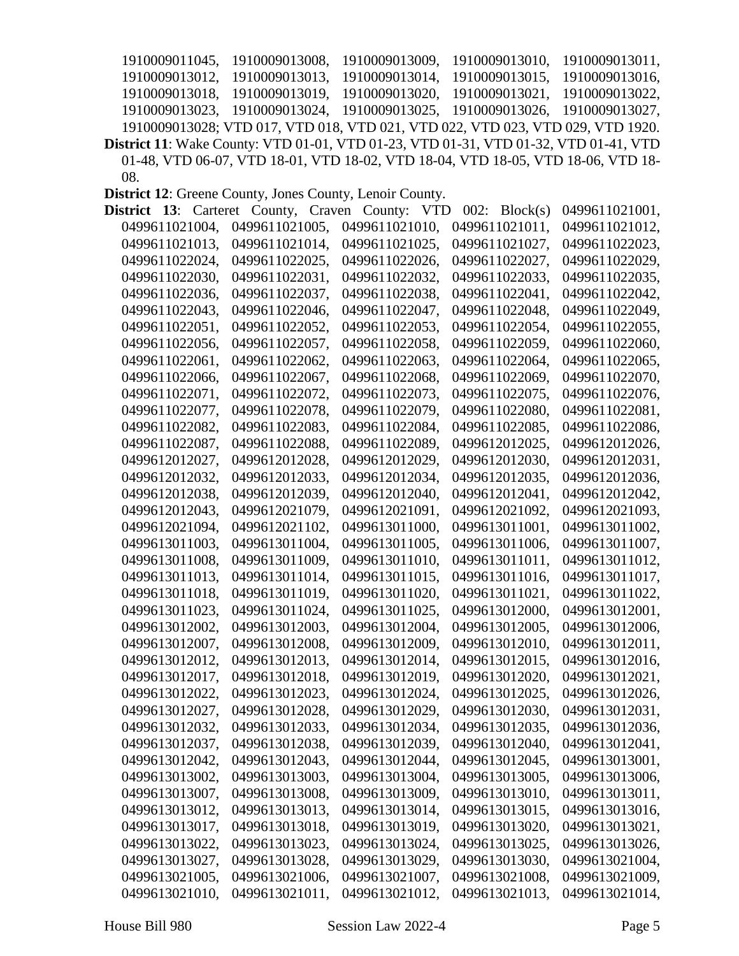1910009011045, 1910009013008, 1910009013009, 1910009013010, 1910009013011, 1910009013012, 1910009013013, 1910009013014, 1910009013015, 1910009013016, 1910009013018, 1910009013019, 1910009013020, 1910009013021, 1910009013022, 1910009013023, 1910009013024, 1910009013025, 1910009013026, 1910009013027, 1910009013028; VTD 017, VTD 018, VTD 021, VTD 022, VTD 023, VTD 029, VTD 1920. **District 11**: Wake County: VTD 01-01, VTD 01-23, VTD 01-31, VTD 01-32, VTD 01-41, VTD 01-48, VTD 06-07, VTD 18-01, VTD 18-02, VTD 18-04, VTD 18-05, VTD 18-06, VTD 18- 08.

**District 12**: Greene County, Jones County, Lenoir County.

| 13:<br>District | Carteret County, | <b>VTD</b><br>Craven County: | $002$ : Block(s) | 0499611021001, |
|-----------------|------------------|------------------------------|------------------|----------------|
| 0499611021004,  | 0499611021005,   | 0499611021010,               | 0499611021011,   | 0499611021012, |
| 0499611021013,  | 0499611021014,   | 0499611021025,               | 0499611021027,   | 0499611022023, |
| 0499611022024,  | 0499611022025,   | 0499611022026,               | 0499611022027,   | 0499611022029, |
| 0499611022030,  | 0499611022031,   | 0499611022032.               | 0499611022033,   | 0499611022035, |
| 0499611022036,  | 0499611022037,   | 0499611022038,               | 0499611022041,   | 0499611022042, |
| 0499611022043,  | 0499611022046,   | 0499611022047,               | 0499611022048,   | 0499611022049, |
| 0499611022051,  | 0499611022052,   | 0499611022053,               | 0499611022054,   | 0499611022055, |
| 0499611022056,  | 0499611022057,   | 0499611022058,               | 0499611022059,   | 0499611022060, |
| 0499611022061,  | 0499611022062,   | 0499611022063,               | 0499611022064,   | 0499611022065, |
| 0499611022066,  | 0499611022067,   | 0499611022068,               | 0499611022069.   | 0499611022070, |
| 0499611022071,  | 0499611022072,   | 0499611022073,               | 0499611022075,   | 0499611022076, |
| 0499611022077,  | 0499611022078,   | 0499611022079,               | 0499611022080,   | 0499611022081, |
| 0499611022082,  | 0499611022083,   | 0499611022084,               | 0499611022085,   | 0499611022086, |
| 0499611022087,  | 0499611022088,   | 0499611022089,               | 0499612012025,   | 0499612012026, |
| 0499612012027,  | 0499612012028,   | 0499612012029,               | 0499612012030,   | 0499612012031, |
| 0499612012032,  | 0499612012033,   | 0499612012034,               | 0499612012035,   | 0499612012036, |
| 0499612012038,  | 0499612012039,   | 0499612012040,               | 0499612012041,   | 0499612012042, |
| 0499612012043,  | 0499612021079,   | 0499612021091,               | 0499612021092,   | 0499612021093, |
| 0499612021094,  | 0499612021102,   | 0499613011000,               | 0499613011001,   | 0499613011002, |
| 0499613011003.  | 0499613011004,   | 0499613011005,               | 0499613011006,   | 0499613011007. |
| 0499613011008,  | 0499613011009,   | 0499613011010,               | 0499613011011,   | 0499613011012, |
| 0499613011013,  | 0499613011014,   | 0499613011015,               | 0499613011016,   | 0499613011017, |
| 0499613011018,  | 0499613011019,   | 0499613011020,               | 0499613011021,   | 0499613011022, |
| 0499613011023,  | 0499613011024,   | 0499613011025,               | 0499613012000,   | 0499613012001, |
| 0499613012002,  | 0499613012003,   | 0499613012004,               | 0499613012005,   | 0499613012006, |
| 0499613012007,  | 0499613012008,   | 0499613012009,               | 0499613012010,   | 0499613012011, |
| 0499613012012,  | 0499613012013,   | 0499613012014,               | 0499613012015,   | 0499613012016, |
| 0499613012017,  | 0499613012018,   | 0499613012019,               | 0499613012020,   | 0499613012021, |
| 0499613012022,  | 0499613012023,   | 0499613012024,               | 0499613012025,   | 0499613012026, |
| 0499613012027,  | 0499613012028,   | 0499613012029,               | 0499613012030,   | 0499613012031, |
| 0499613012032,  | 0499613012033,   | 0499613012034,               | 0499613012035,   | 0499613012036, |
| 0499613012037,  | 0499613012038,   | 0499613012039,               | 0499613012040,   | 0499613012041, |
| 0499613012042,  | 0499613012043,   | 0499613012044,               | 0499613012045,   | 0499613013001, |
| 0499613013002,  | 0499613013003,   | 0499613013004,               | 0499613013005,   | 0499613013006, |
| 0499613013007,  | 0499613013008,   | 0499613013009,               | 0499613013010,   | 0499613013011, |
| 0499613013012,  | 0499613013013,   | 0499613013014,               | 0499613013015,   | 0499613013016, |
| 0499613013017,  | 0499613013018,   | 0499613013019,               | 0499613013020,   | 0499613013021, |
| 0499613013022,  | 0499613013023,   | 0499613013024,               | 0499613013025,   | 0499613013026, |
| 0499613013027,  | 0499613013028,   | 0499613013029,               | 0499613013030,   | 0499613021004, |
| 0499613021005,  | 0499613021006,   | 0499613021007,               | 0499613021008,   | 0499613021009, |
| 0499613021010,  | 0499613021011,   | 0499613021012,               | 0499613021013,   | 0499613021014, |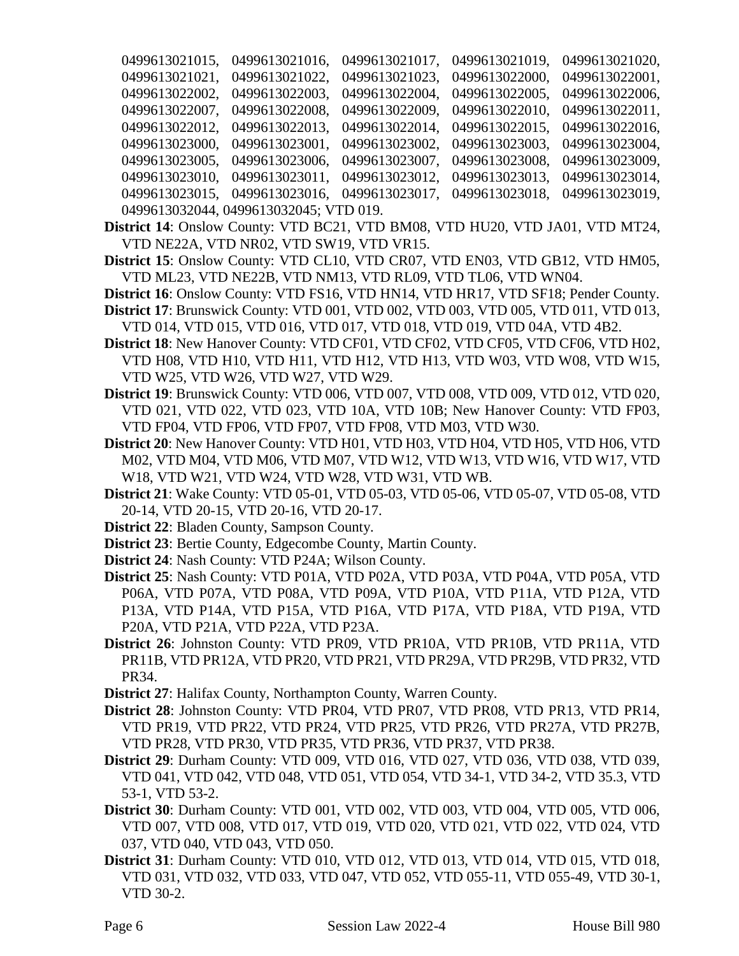| 0499613021015, | 0499613021016,                         | 0499613021017, | 0499613021019, | 0499613021020, |
|----------------|----------------------------------------|----------------|----------------|----------------|
| 0499613021021, | 0499613021022,                         | 0499613021023, | 0499613022000, | 0499613022001, |
| 0499613022002, | 0499613022003.                         | 0499613022004, | 0499613022005, | 0499613022006. |
| 0499613022007, | 0499613022008,                         | 0499613022009, | 0499613022010, | 0499613022011. |
| 0499613022012, | 0499613022013,                         | 0499613022014, | 0499613022015, | 0499613022016, |
| 0499613023000, | 0499613023001,                         | 0499613023002, | 0499613023003, | 0499613023004, |
| 0499613023005, | 0499613023006,                         | 0499613023007, | 0499613023008, | 0499613023009, |
| 0499613023010, | 0499613023011,                         | 0499613023012, | 0499613023013, | 0499613023014, |
|                | 0499613023015, 0499613023016,          | 0499613023017, | 0499613023018, | 0499613023019, |
|                | 0499613032044, 0499613032045; VTD 019. |                |                |                |

- **District 14**: Onslow County: VTD BC21, VTD BM08, VTD HU20, VTD JA01, VTD MT24, VTD NE22A, VTD NR02, VTD SW19, VTD VR15.
- **District 15**: Onslow County: VTD CL10, VTD CR07, VTD EN03, VTD GB12, VTD HM05, VTD ML23, VTD NE22B, VTD NM13, VTD RL09, VTD TL06, VTD WN04.
- **District 16**: Onslow County: VTD FS16, VTD HN14, VTD HR17, VTD SF18; Pender County. **District 17**: Brunswick County: VTD 001, VTD 002, VTD 003, VTD 005, VTD 011, VTD 013,
	- VTD 014, VTD 015, VTD 016, VTD 017, VTD 018, VTD 019, VTD 04A, VTD 4B2.
- **District 18**: New Hanover County: VTD CF01, VTD CF02, VTD CF05, VTD CF06, VTD H02, VTD H08, VTD H10, VTD H11, VTD H12, VTD H13, VTD W03, VTD W08, VTD W15, VTD W25, VTD W26, VTD W27, VTD W29.
- **District 19**: Brunswick County: VTD 006, VTD 007, VTD 008, VTD 009, VTD 012, VTD 020, VTD 021, VTD 022, VTD 023, VTD 10A, VTD 10B; New Hanover County: VTD FP03, VTD FP04, VTD FP06, VTD FP07, VTD FP08, VTD M03, VTD W30.
- **District 20**: New Hanover County: VTD H01, VTD H03, VTD H04, VTD H05, VTD H06, VTD M02, VTD M04, VTD M06, VTD M07, VTD W12, VTD W13, VTD W16, VTD W17, VTD W18, VTD W21, VTD W24, VTD W28, VTD W31, VTD WB.
- **District 21**: Wake County: VTD 05-01, VTD 05-03, VTD 05-06, VTD 05-07, VTD 05-08, VTD 20-14, VTD 20-15, VTD 20-16, VTD 20-17.
- **District 22**: Bladen County, Sampson County.
- **District 23**: Bertie County, Edgecombe County, Martin County.
- **District 24**: Nash County: VTD P24A; Wilson County.
- **District 25**: Nash County: VTD P01A, VTD P02A, VTD P03A, VTD P04A, VTD P05A, VTD P06A, VTD P07A, VTD P08A, VTD P09A, VTD P10A, VTD P11A, VTD P12A, VTD P13A, VTD P14A, VTD P15A, VTD P16A, VTD P17A, VTD P18A, VTD P19A, VTD P20A, VTD P21A, VTD P22A, VTD P23A.
- **District 26**: Johnston County: VTD PR09, VTD PR10A, VTD PR10B, VTD PR11A, VTD PR11B, VTD PR12A, VTD PR20, VTD PR21, VTD PR29A, VTD PR29B, VTD PR32, VTD PR34.
- **District 27**: Halifax County, Northampton County, Warren County.
- **District 28**: Johnston County: VTD PR04, VTD PR07, VTD PR08, VTD PR13, VTD PR14, VTD PR19, VTD PR22, VTD PR24, VTD PR25, VTD PR26, VTD PR27A, VTD PR27B, VTD PR28, VTD PR30, VTD PR35, VTD PR36, VTD PR37, VTD PR38.
- **District 29**: Durham County: VTD 009, VTD 016, VTD 027, VTD 036, VTD 038, VTD 039, VTD 041, VTD 042, VTD 048, VTD 051, VTD 054, VTD 34-1, VTD 34-2, VTD 35.3, VTD 53-1, VTD 53-2.
- **District 30**: Durham County: VTD 001, VTD 002, VTD 003, VTD 004, VTD 005, VTD 006, VTD 007, VTD 008, VTD 017, VTD 019, VTD 020, VTD 021, VTD 022, VTD 024, VTD 037, VTD 040, VTD 043, VTD 050.
- **District 31**: Durham County: VTD 010, VTD 012, VTD 013, VTD 014, VTD 015, VTD 018, VTD 031, VTD 032, VTD 033, VTD 047, VTD 052, VTD 055-11, VTD 055-49, VTD 30-1, VTD 30-2.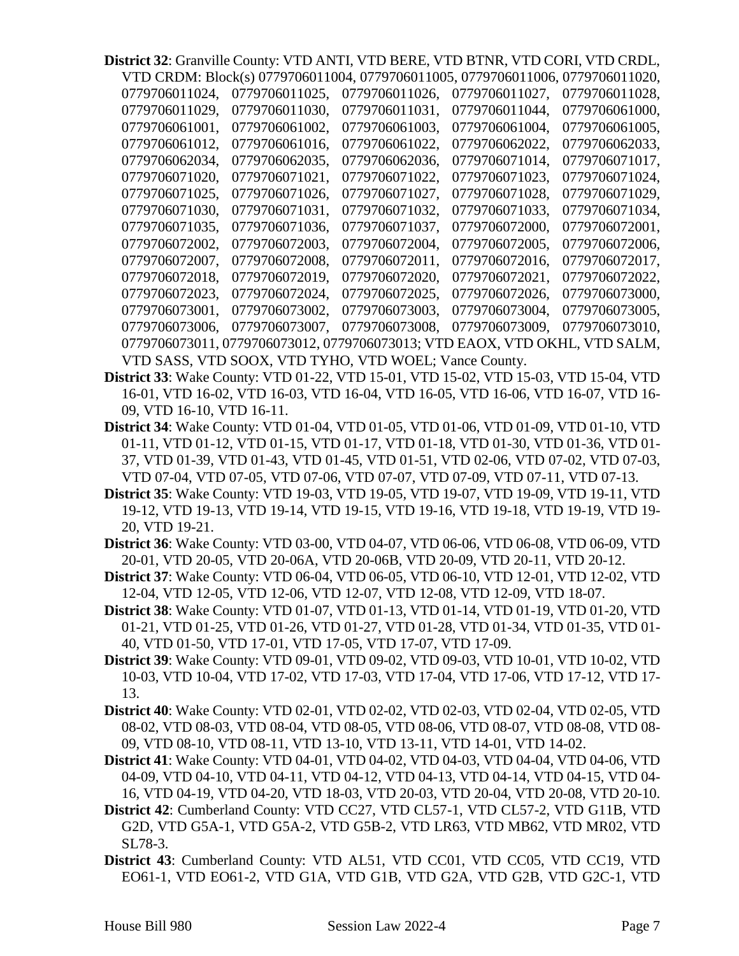**District 32**: Granville County: VTD ANTI, VTD BERE, VTD BTNR, VTD CORI, VTD CRDL, VTD CRDM: Block(s) 0779706011004, 0779706011005, 0779706011006, 0779706011020,

|                |                                                       |                | <u>VID CRDM. BIOCKISI 0779700011004. 0779700011003. 0779700011000. 0779700011020.</u> |                |
|----------------|-------------------------------------------------------|----------------|---------------------------------------------------------------------------------------|----------------|
| 0779706011024. | 0779706011025.                                        | 0779706011026. | 0779706011027.                                                                        | 0779706011028. |
| 0779706011029. | 0779706011030.                                        | 0779706011031. | 0779706011044.                                                                        | 0779706061000. |
| 0779706061001. | 0779706061002.                                        | 0779706061003. | 0779706061004.                                                                        | 0779706061005. |
| 0779706061012. | 0779706061016.                                        | 0779706061022. | 0779706062022.                                                                        | 0779706062033. |
| 0779706062034. | 0779706062035.                                        | 0779706062036. | 0779706071014.                                                                        | 0779706071017. |
| 0779706071020. | 0779706071021.                                        | 0779706071022. | 0779706071023.                                                                        | 0779706071024. |
| 0779706071025. | 0779706071026.                                        | 0779706071027. | 0779706071028.                                                                        | 0779706071029. |
| 0779706071030. | 0779706071031.                                        | 0779706071032. | 0779706071033.                                                                        | 0779706071034, |
| 0779706071035, | 0779706071036,                                        | 0779706071037, | 0779706072000,                                                                        | 0779706072001, |
| 0779706072002. | 0779706072003.                                        | 0779706072004. | 0779706072005.                                                                        | 0779706072006, |
| 0779706072007. | 0779706072008.                                        | 0779706072011. | 0779706072016.                                                                        | 0779706072017. |
| 0779706072018. | 0779706072019.                                        | 0779706072020. | 0779706072021.                                                                        | 0779706072022. |
| 0779706072023. | 0779706072024.                                        | 0779706072025. | 0779706072026.                                                                        | 0779706073000. |
| 0779706073001, | 0779706073002,                                        | 0779706073003, | 0779706073004,                                                                        | 0779706073005, |
| 0779706073006. | 0779706073007.                                        | 0779706073008. | 0779706073009.                                                                        | 0779706073010, |
|                |                                                       |                | 0779706073011, 0779706073012, 0779706073013; VTD EAOX, VTD OKHL, VTD SALM,            |                |
|                | VTD SASS, VTD SOOX, VTD TYHO, VTD WOEL; Vance County. |                |                                                                                       |                |

- **District 33**: Wake County: VTD 01-22, VTD 15-01, VTD 15-02, VTD 15-03, VTD 15-04, VTD 16-01, VTD 16-02, VTD 16-03, VTD 16-04, VTD 16-05, VTD 16-06, VTD 16-07, VTD 16- 09, VTD 16-10, VTD 16-11.
- **District 34**: Wake County: VTD 01-04, VTD 01-05, VTD 01-06, VTD 01-09, VTD 01-10, VTD 01-11, VTD 01-12, VTD 01-15, VTD 01-17, VTD 01-18, VTD 01-30, VTD 01-36, VTD 01- 37, VTD 01-39, VTD 01-43, VTD 01-45, VTD 01-51, VTD 02-06, VTD 07-02, VTD 07-03, VTD 07-04, VTD 07-05, VTD 07-06, VTD 07-07, VTD 07-09, VTD 07-11, VTD 07-13.
- **District 35**: Wake County: VTD 19-03, VTD 19-05, VTD 19-07, VTD 19-09, VTD 19-11, VTD 19-12, VTD 19-13, VTD 19-14, VTD 19-15, VTD 19-16, VTD 19-18, VTD 19-19, VTD 19- 20, VTD 19-21.
- **District 36**: Wake County: VTD 03-00, VTD 04-07, VTD 06-06, VTD 06-08, VTD 06-09, VTD 20-01, VTD 20-05, VTD 20-06A, VTD 20-06B, VTD 20-09, VTD 20-11, VTD 20-12.
- **District 37**: Wake County: VTD 06-04, VTD 06-05, VTD 06-10, VTD 12-01, VTD 12-02, VTD 12-04, VTD 12-05, VTD 12-06, VTD 12-07, VTD 12-08, VTD 12-09, VTD 18-07.
- **District 38**: Wake County: VTD 01-07, VTD 01-13, VTD 01-14, VTD 01-19, VTD 01-20, VTD 01-21, VTD 01-25, VTD 01-26, VTD 01-27, VTD 01-28, VTD 01-34, VTD 01-35, VTD 01- 40, VTD 01-50, VTD 17-01, VTD 17-05, VTD 17-07, VTD 17-09.
- **District 39**: Wake County: VTD 09-01, VTD 09-02, VTD 09-03, VTD 10-01, VTD 10-02, VTD 10-03, VTD 10-04, VTD 17-02, VTD 17-03, VTD 17-04, VTD 17-06, VTD 17-12, VTD 17- 13.
- **District 40**: Wake County: VTD 02-01, VTD 02-02, VTD 02-03, VTD 02-04, VTD 02-05, VTD 08-02, VTD 08-03, VTD 08-04, VTD 08-05, VTD 08-06, VTD 08-07, VTD 08-08, VTD 08- 09, VTD 08-10, VTD 08-11, VTD 13-10, VTD 13-11, VTD 14-01, VTD 14-02.
- **District 41**: Wake County: VTD 04-01, VTD 04-02, VTD 04-03, VTD 04-04, VTD 04-06, VTD 04-09, VTD 04-10, VTD 04-11, VTD 04-12, VTD 04-13, VTD 04-14, VTD 04-15, VTD 04- 16, VTD 04-19, VTD 04-20, VTD 18-03, VTD 20-03, VTD 20-04, VTD 20-08, VTD 20-10.
- **District 42**: Cumberland County: VTD CC27, VTD CL57-1, VTD CL57-2, VTD G11B, VTD G2D, VTD G5A-1, VTD G5A-2, VTD G5B-2, VTD LR63, VTD MB62, VTD MR02, VTD SL78-3.
- **District 43**: Cumberland County: VTD AL51, VTD CC01, VTD CC05, VTD CC19, VTD EO61-1, VTD EO61-2, VTD G1A, VTD G1B, VTD G2A, VTD G2B, VTD G2C-1, VTD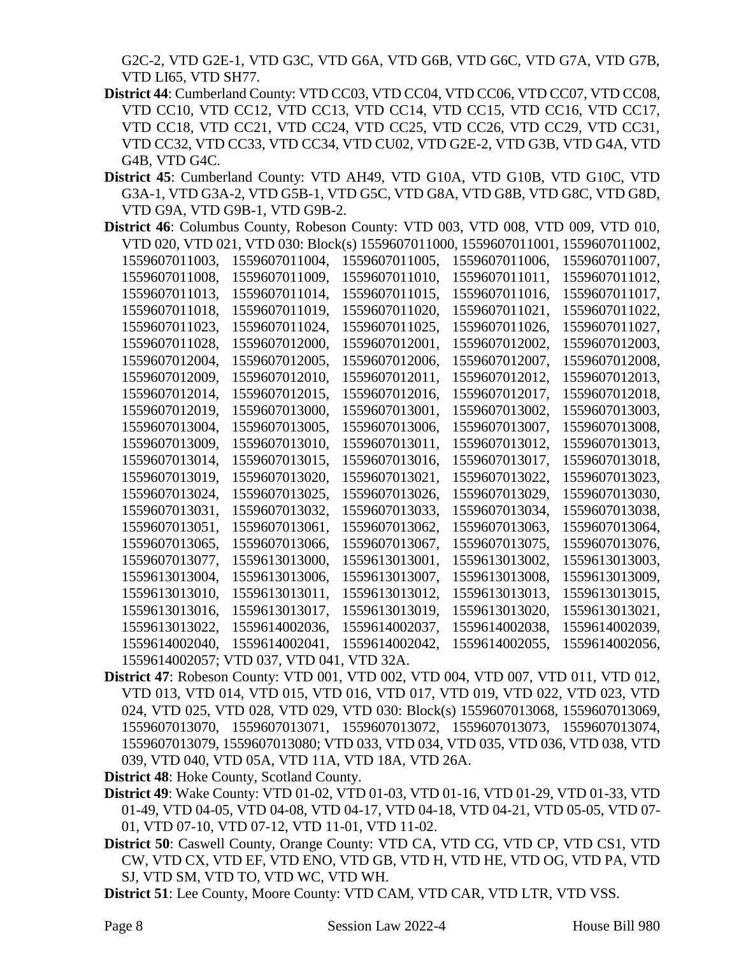G2C-2, VTD G2E-1, VTD G3C, VTD G6A, VTD G6B, VTD G6C, VTD G7A, VTD G7B, VTD LI65, VTD SH77.

- **District 44**: Cumberland County: VTD CC03, VTD CC04, VTD CC06, VTD CC07, VTD CC08, VTD CC10, VTD CC12, VTD CC13, VTD CC14, VTD CC15, VTD CC16, VTD CC17, VTD CC18, VTD CC21, VTD CC24, VTD CC25, VTD CC26, VTD CC29, VTD CC31, VTD CC32, VTD CC33, VTD CC34, VTD CU02, VTD G2E-2, VTD G3B, VTD G4A, VTD G4B, VTD G4C.
- **District 45**: Cumberland County: VTD AH49, VTD G10A, VTD G10B, VTD G10C, VTD G3A-1, VTD G3A-2, VTD G5B-1, VTD G5C, VTD G8A, VTD G8B, VTD G8C, VTD G8D, VTD G9A, VTD G9B-1, VTD G9B-2.
- **District 46**: Columbus County, Robeson County: VTD 003, VTD 008, VTD 009, VTD 010, VTD 020, VTD 021, VTD 030: Block(s) 1559607011000, 1559607011001, 1559607011002, 1559607011003, 1559607011004, 1559607011005, 1559607011006, 1559607011007, 1559607011008, 1559607011009, 1559607011010, 1559607011011, 1559607011012, 1559607011013, 1559607011014, 1559607011015, 1559607011016, 1559607011017, 1559607011018, 1559607011019, 1559607011020, 1559607011021, 1559607011022, 1559607011023, 1559607011024, 1559607011025, 1559607011026, 1559607011027, 1559607011028, 1559607012000, 1559607012001, 1559607012002, 1559607012003, 1559607012004, 1559607012005, 1559607012006, 1559607012007, 1559607012008, 1559607012009, 1559607012010, 1559607012011, 1559607012012, 1559607012013, 1559607012014, 1559607012015, 1559607012016, 1559607012017, 1559607012018, 1559607012019, 1559607013000, 1559607013001, 1559607013002, 1559607013003, 1559607013004, 1559607013005, 1559607013006, 1559607013007, 1559607013008, 1559607013009, 1559607013010, 1559607013011, 1559607013012, 1559607013013, 1559607013014, 1559607013015, 1559607013016, 1559607013017, 1559607013018, 1559607013019, 1559607013020, 1559607013021, 1559607013022, 1559607013023, 1559607013024, 1559607013025, 1559607013026, 1559607013029, 1559607013030, 1559607013031, 1559607013032, 1559607013033, 1559607013034, 1559607013038, 1559607013051, 1559607013061, 1559607013062, 1559607013063, 1559607013064, 1559607013065, 1559607013066, 1559607013067, 1559607013075, 1559607013076, 1559607013077, 1559613013000, 1559613013001, 1559613013002, 1559613013003, 1559613013004, 1559613013006, 1559613013007, 1559613013008, 1559613013009, 1559613013010, 1559613013011, 1559613013012, 1559613013013, 1559613013015, 1559613013016, 1559613013017, 1559613013019, 1559613013020, 1559613013021, 1559613013022, 1559614002036, 1559614002037, 1559614002038, 1559614002039, 1559614002040, 1559614002041, 1559614002042, 1559614002055, 1559614002056, 1559614002057; VTD 037, VTD 041, VTD 32A.
- **District 47**: Robeson County: VTD 001, VTD 002, VTD 004, VTD 007, VTD 011, VTD 012, VTD 013, VTD 014, VTD 015, VTD 016, VTD 017, VTD 019, VTD 022, VTD 023, VTD 024, VTD 025, VTD 028, VTD 029, VTD 030: Block(s) 1559607013068, 1559607013069, 1559607013070, 1559607013071, 1559607013072, 1559607013073, 1559607013074, 1559607013079, 1559607013080; VTD 033, VTD 034, VTD 035, VTD 036, VTD 038, VTD 039, VTD 040, VTD 05A, VTD 11A, VTD 18A, VTD 26A.

**District 48**: Hoke County, Scotland County.

- **District 49**: Wake County: VTD 01-02, VTD 01-03, VTD 01-16, VTD 01-29, VTD 01-33, VTD 01-49, VTD 04-05, VTD 04-08, VTD 04-17, VTD 04-18, VTD 04-21, VTD 05-05, VTD 07- 01, VTD 07-10, VTD 07-12, VTD 11-01, VTD 11-02.
- **District 50**: Caswell County, Orange County: VTD CA, VTD CG, VTD CP, VTD CS1, VTD CW, VTD CX, VTD EF, VTD ENO, VTD GB, VTD H, VTD HE, VTD OG, VTD PA, VTD SJ, VTD SM, VTD TO, VTD WC, VTD WH.
- **District 51**: Lee County, Moore County: VTD CAM, VTD CAR, VTD LTR, VTD VSS.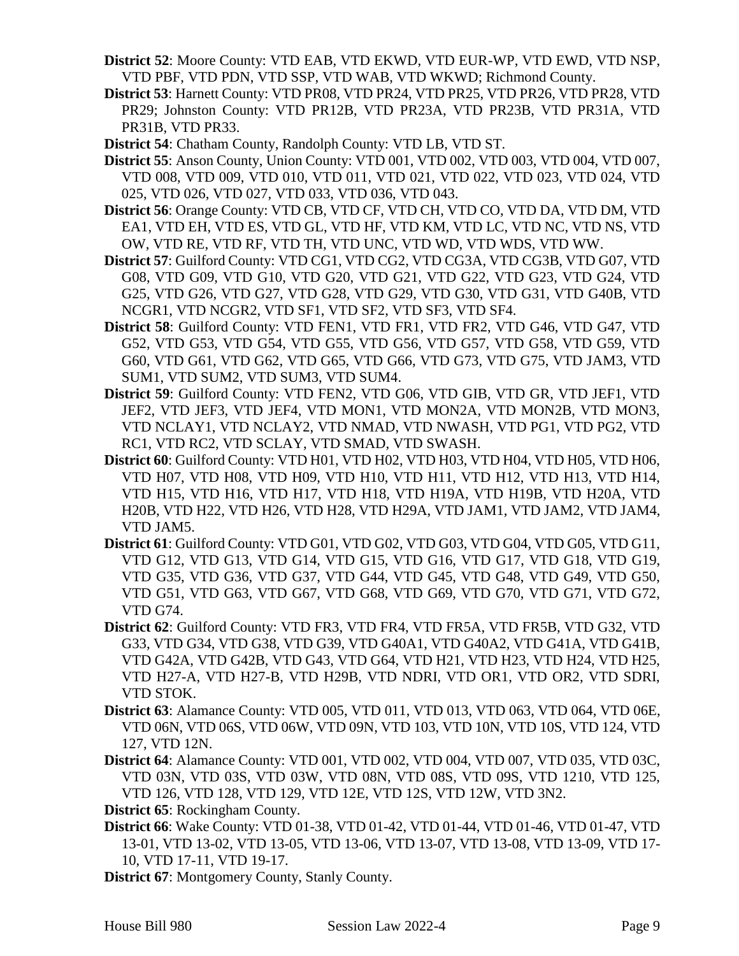- **District 52**: Moore County: VTD EAB, VTD EKWD, VTD EUR-WP, VTD EWD, VTD NSP, VTD PBF, VTD PDN, VTD SSP, VTD WAB, VTD WKWD; Richmond County.
- **District 53**: Harnett County: VTD PR08, VTD PR24, VTD PR25, VTD PR26, VTD PR28, VTD PR29; Johnston County: VTD PR12B, VTD PR23A, VTD PR23B, VTD PR31A, VTD PR31B, VTD PR33.
- **District 54**: Chatham County, Randolph County: VTD LB, VTD ST.
- **District 55**: Anson County, Union County: VTD 001, VTD 002, VTD 003, VTD 004, VTD 007, VTD 008, VTD 009, VTD 010, VTD 011, VTD 021, VTD 022, VTD 023, VTD 024, VTD 025, VTD 026, VTD 027, VTD 033, VTD 036, VTD 043.
- **District 56**: Orange County: VTD CB, VTD CF, VTD CH, VTD CO, VTD DA, VTD DM, VTD EA1, VTD EH, VTD ES, VTD GL, VTD HF, VTD KM, VTD LC, VTD NC, VTD NS, VTD OW, VTD RE, VTD RF, VTD TH, VTD UNC, VTD WD, VTD WDS, VTD WW.
- **District 57**: Guilford County: VTD CG1, VTD CG2, VTD CG3A, VTD CG3B, VTD G07, VTD G08, VTD G09, VTD G10, VTD G20, VTD G21, VTD G22, VTD G23, VTD G24, VTD G25, VTD G26, VTD G27, VTD G28, VTD G29, VTD G30, VTD G31, VTD G40B, VTD NCGR1, VTD NCGR2, VTD SF1, VTD SF2, VTD SF3, VTD SF4.
- **District 58**: Guilford County: VTD FEN1, VTD FR1, VTD FR2, VTD G46, VTD G47, VTD G52, VTD G53, VTD G54, VTD G55, VTD G56, VTD G57, VTD G58, VTD G59, VTD G60, VTD G61, VTD G62, VTD G65, VTD G66, VTD G73, VTD G75, VTD JAM3, VTD SUM1, VTD SUM2, VTD SUM3, VTD SUM4.
- **District 59**: Guilford County: VTD FEN2, VTD G06, VTD GIB, VTD GR, VTD JEF1, VTD JEF2, VTD JEF3, VTD JEF4, VTD MON1, VTD MON2A, VTD MON2B, VTD MON3, VTD NCLAY1, VTD NCLAY2, VTD NMAD, VTD NWASH, VTD PG1, VTD PG2, VTD RC1, VTD RC2, VTD SCLAY, VTD SMAD, VTD SWASH.
- **District 60**: Guilford County: VTD H01, VTD H02, VTD H03, VTD H04, VTD H05, VTD H06, VTD H07, VTD H08, VTD H09, VTD H10, VTD H11, VTD H12, VTD H13, VTD H14, VTD H15, VTD H16, VTD H17, VTD H18, VTD H19A, VTD H19B, VTD H20A, VTD H20B, VTD H22, VTD H26, VTD H28, VTD H29A, VTD JAM1, VTD JAM2, VTD JAM4, VTD JAM5.
- **District 61**: Guilford County: VTD G01, VTD G02, VTD G03, VTD G04, VTD G05, VTD G11, VTD G12, VTD G13, VTD G14, VTD G15, VTD G16, VTD G17, VTD G18, VTD G19, VTD G35, VTD G36, VTD G37, VTD G44, VTD G45, VTD G48, VTD G49, VTD G50, VTD G51, VTD G63, VTD G67, VTD G68, VTD G69, VTD G70, VTD G71, VTD G72, VTD G74.
- **District 62**: Guilford County: VTD FR3, VTD FR4, VTD FR5A, VTD FR5B, VTD G32, VTD G33, VTD G34, VTD G38, VTD G39, VTD G40A1, VTD G40A2, VTD G41A, VTD G41B, VTD G42A, VTD G42B, VTD G43, VTD G64, VTD H21, VTD H23, VTD H24, VTD H25, VTD H27-A, VTD H27-B, VTD H29B, VTD NDRI, VTD OR1, VTD OR2, VTD SDRI, VTD STOK.
- **District 63**: Alamance County: VTD 005, VTD 011, VTD 013, VTD 063, VTD 064, VTD 06E, VTD 06N, VTD 06S, VTD 06W, VTD 09N, VTD 103, VTD 10N, VTD 10S, VTD 124, VTD 127, VTD 12N.
- **District 64**: Alamance County: VTD 001, VTD 002, VTD 004, VTD 007, VTD 035, VTD 03C, VTD 03N, VTD 03S, VTD 03W, VTD 08N, VTD 08S, VTD 09S, VTD 1210, VTD 125, VTD 126, VTD 128, VTD 129, VTD 12E, VTD 12S, VTD 12W, VTD 3N2.
- **District 65**: Rockingham County.
- **District 66**: Wake County: VTD 01-38, VTD 01-42, VTD 01-44, VTD 01-46, VTD 01-47, VTD 13-01, VTD 13-02, VTD 13-05, VTD 13-06, VTD 13-07, VTD 13-08, VTD 13-09, VTD 17- 10, VTD 17-11, VTD 19-17.
- **District 67**: Montgomery County, Stanly County.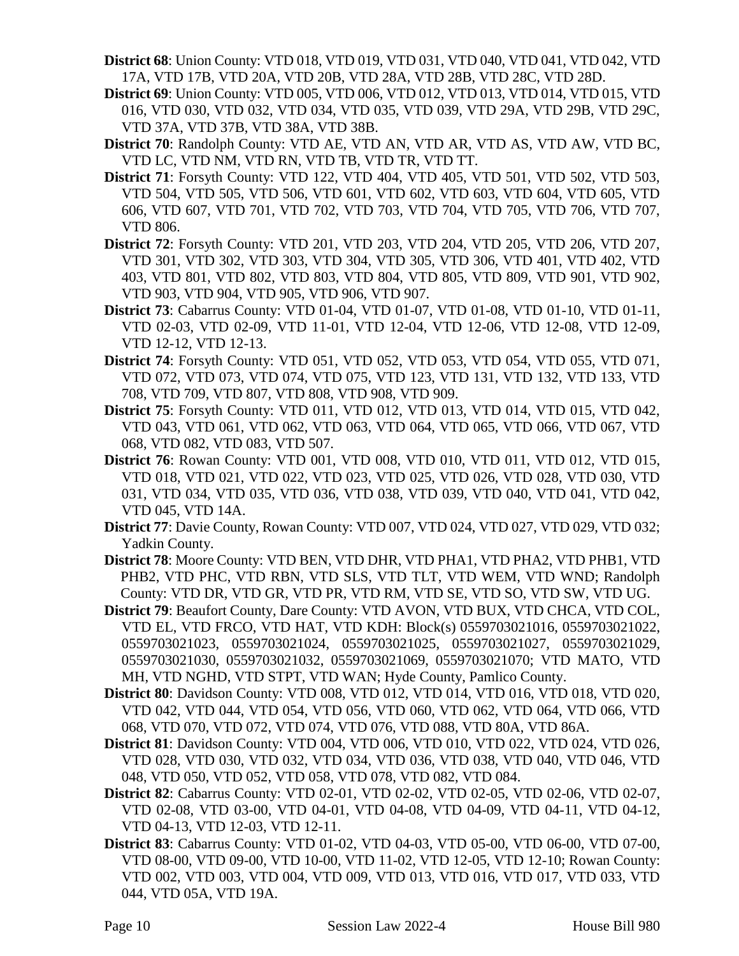- **District 68**: Union County: VTD 018, VTD 019, VTD 031, VTD 040, VTD 041, VTD 042, VTD 17A, VTD 17B, VTD 20A, VTD 20B, VTD 28A, VTD 28B, VTD 28C, VTD 28D.
- **District 69**: Union County: VTD 005, VTD 006, VTD 012, VTD 013, VTD 014, VTD 015, VTD 016, VTD 030, VTD 032, VTD 034, VTD 035, VTD 039, VTD 29A, VTD 29B, VTD 29C, VTD 37A, VTD 37B, VTD 38A, VTD 38B.
- **District 70**: Randolph County: VTD AE, VTD AN, VTD AR, VTD AS, VTD AW, VTD BC, VTD LC, VTD NM, VTD RN, VTD TB, VTD TR, VTD TT.
- **District 71**: Forsyth County: VTD 122, VTD 404, VTD 405, VTD 501, VTD 502, VTD 503, VTD 504, VTD 505, VTD 506, VTD 601, VTD 602, VTD 603, VTD 604, VTD 605, VTD 606, VTD 607, VTD 701, VTD 702, VTD 703, VTD 704, VTD 705, VTD 706, VTD 707, VTD 806.
- **District 72**: Forsyth County: VTD 201, VTD 203, VTD 204, VTD 205, VTD 206, VTD 207, VTD 301, VTD 302, VTD 303, VTD 304, VTD 305, VTD 306, VTD 401, VTD 402, VTD 403, VTD 801, VTD 802, VTD 803, VTD 804, VTD 805, VTD 809, VTD 901, VTD 902, VTD 903, VTD 904, VTD 905, VTD 906, VTD 907.
- **District 73**: Cabarrus County: VTD 01-04, VTD 01-07, VTD 01-08, VTD 01-10, VTD 01-11, VTD 02-03, VTD 02-09, VTD 11-01, VTD 12-04, VTD 12-06, VTD 12-08, VTD 12-09, VTD 12-12, VTD 12-13.
- **District 74**: Forsyth County: VTD 051, VTD 052, VTD 053, VTD 054, VTD 055, VTD 071, VTD 072, VTD 073, VTD 074, VTD 075, VTD 123, VTD 131, VTD 132, VTD 133, VTD 708, VTD 709, VTD 807, VTD 808, VTD 908, VTD 909.
- **District 75**: Forsyth County: VTD 011, VTD 012, VTD 013, VTD 014, VTD 015, VTD 042, VTD 043, VTD 061, VTD 062, VTD 063, VTD 064, VTD 065, VTD 066, VTD 067, VTD 068, VTD 082, VTD 083, VTD 507.
- **District 76**: Rowan County: VTD 001, VTD 008, VTD 010, VTD 011, VTD 012, VTD 015, VTD 018, VTD 021, VTD 022, VTD 023, VTD 025, VTD 026, VTD 028, VTD 030, VTD 031, VTD 034, VTD 035, VTD 036, VTD 038, VTD 039, VTD 040, VTD 041, VTD 042, VTD 045, VTD 14A.
- **District 77**: Davie County, Rowan County: VTD 007, VTD 024, VTD 027, VTD 029, VTD 032; Yadkin County.
- **District 78**: Moore County: VTD BEN, VTD DHR, VTD PHA1, VTD PHA2, VTD PHB1, VTD PHB2, VTD PHC, VTD RBN, VTD SLS, VTD TLT, VTD WEM, VTD WND; Randolph County: VTD DR, VTD GR, VTD PR, VTD RM, VTD SE, VTD SO, VTD SW, VTD UG.
- **District 79**: Beaufort County, Dare County: VTD AVON, VTD BUX, VTD CHCA, VTD COL, VTD EL, VTD FRCO, VTD HAT, VTD KDH: Block(s) 0559703021016, 0559703021022, 0559703021023, 0559703021024, 0559703021025, 0559703021027, 0559703021029, 0559703021030, 0559703021032, 0559703021069, 0559703021070; VTD MATO, VTD MH, VTD NGHD, VTD STPT, VTD WAN; Hyde County, Pamlico County.
- **District 80**: Davidson County: VTD 008, VTD 012, VTD 014, VTD 016, VTD 018, VTD 020, VTD 042, VTD 044, VTD 054, VTD 056, VTD 060, VTD 062, VTD 064, VTD 066, VTD 068, VTD 070, VTD 072, VTD 074, VTD 076, VTD 088, VTD 80A, VTD 86A.
- **District 81**: Davidson County: VTD 004, VTD 006, VTD 010, VTD 022, VTD 024, VTD 026, VTD 028, VTD 030, VTD 032, VTD 034, VTD 036, VTD 038, VTD 040, VTD 046, VTD 048, VTD 050, VTD 052, VTD 058, VTD 078, VTD 082, VTD 084.
- **District 82**: Cabarrus County: VTD 02-01, VTD 02-02, VTD 02-05, VTD 02-06, VTD 02-07, VTD 02-08, VTD 03-00, VTD 04-01, VTD 04-08, VTD 04-09, VTD 04-11, VTD 04-12, VTD 04-13, VTD 12-03, VTD 12-11.
- **District 83**: Cabarrus County: VTD 01-02, VTD 04-03, VTD 05-00, VTD 06-00, VTD 07-00, VTD 08-00, VTD 09-00, VTD 10-00, VTD 11-02, VTD 12-05, VTD 12-10; Rowan County: VTD 002, VTD 003, VTD 004, VTD 009, VTD 013, VTD 016, VTD 017, VTD 033, VTD 044, VTD 05A, VTD 19A.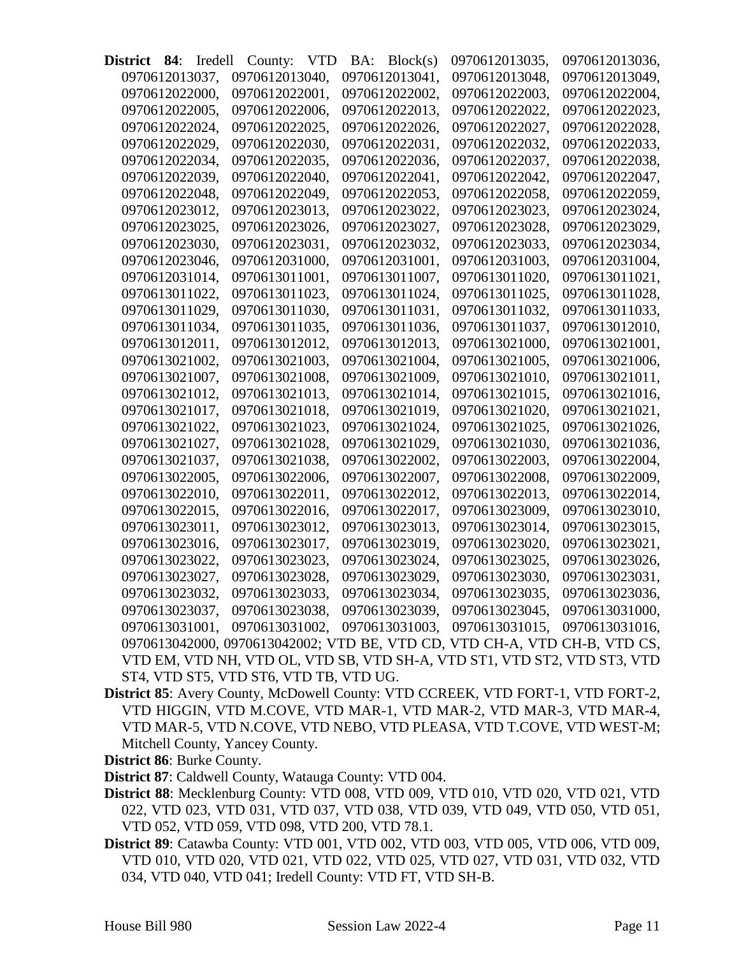| District       | 84: | <i>Iredell</i> | County:                                                                   | <b>VTD</b> | BA: | Block(s)       | 0970612013035,                | 0970612013036, |
|----------------|-----|----------------|---------------------------------------------------------------------------|------------|-----|----------------|-------------------------------|----------------|
| 0970612013037, |     |                | 0970612013040,                                                            |            |     | 0970612013041, | 0970612013048,                | 0970612013049, |
| 0970612022000, |     |                | 0970612022001,                                                            |            |     | 0970612022002, | 0970612022003,                | 0970612022004, |
| 0970612022005, |     |                | 0970612022006,                                                            |            |     | 0970612022013, | 0970612022022,                | 0970612022023, |
| 0970612022024, |     |                | 0970612022025,                                                            |            |     | 0970612022026, | 0970612022027.                | 0970612022028, |
| 0970612022029, |     |                | 0970612022030,                                                            |            |     | 0970612022031, | 0970612022032,                | 0970612022033, |
| 0970612022034, |     |                | 0970612022035,                                                            |            |     | 0970612022036, | 0970612022037,                | 0970612022038, |
| 0970612022039, |     |                | 0970612022040,                                                            |            |     | 0970612022041, | 0970612022042,                | 0970612022047, |
| 0970612022048, |     |                | 0970612022049,                                                            |            |     | 0970612022053, | 0970612022058,                | 0970612022059, |
| 0970612023012, |     |                | 0970612023013,                                                            |            |     | 0970612023022, | 0970612023023,                | 0970612023024, |
| 0970612023025, |     |                | 0970612023026,                                                            |            |     | 0970612023027, | 0970612023028,                | 0970612023029, |
| 0970612023030, |     |                | 0970612023031,                                                            |            |     | 0970612023032, | 0970612023033,                | 0970612023034, |
| 0970612023046, |     |                | 0970612031000,                                                            |            |     | 0970612031001, | 0970612031003,                | 0970612031004, |
| 0970612031014, |     |                | 0970613011001,                                                            |            |     | 0970613011007, | 0970613011020,                | 0970613011021, |
| 0970613011022, |     |                | 0970613011023,                                                            |            |     | 0970613011024, | 0970613011025.                | 0970613011028. |
| 0970613011029, |     |                | 0970613011030,                                                            |            |     | 0970613011031, | 0970613011032,                | 0970613011033, |
| 0970613011034, |     |                | 0970613011035,                                                            |            |     | 0970613011036, | 0970613011037,                | 0970613012010, |
| 0970613012011, |     |                | 0970613012012,                                                            |            |     | 0970613012013, | 0970613021000,                | 0970613021001, |
| 0970613021002, |     |                | 0970613021003.                                                            |            |     | 0970613021004, | 0970613021005,                | 0970613021006. |
| 0970613021007, |     |                | 0970613021008,                                                            |            |     | 0970613021009, | 0970613021010,                | 0970613021011, |
| 0970613021012. |     |                | 0970613021013,                                                            |            |     | 0970613021014, | 0970613021015,                | 0970613021016, |
| 0970613021017, |     |                | 0970613021018,                                                            |            |     | 0970613021019, | 0970613021020,                | 0970613021021, |
| 0970613021022, |     |                | 0970613021023,                                                            |            |     | 0970613021024, | 0970613021025,                | 0970613021026, |
| 0970613021027, |     |                | 0970613021028,                                                            |            |     | 0970613021029, | 0970613021030,                | 0970613021036, |
| 0970613021037, |     |                | 0970613021038,                                                            |            |     | 0970613022002, | 0970613022003,                | 0970613022004, |
| 0970613022005, |     |                | 0970613022006,                                                            |            |     | 0970613022007, | 0970613022008,                | 0970613022009, |
| 0970613022010, |     |                | 0970613022011,                                                            |            |     | 0970613022012, | 0970613022013,                | 0970613022014, |
| 0970613022015, |     |                | 0970613022016,                                                            |            |     | 0970613022017, | 0970613023009,                | 0970613023010, |
| 0970613023011, |     |                | 0970613023012.                                                            |            |     | 0970613023013, | 0970613023014,                | 0970613023015, |
| 0970613023016, |     |                | 0970613023017,                                                            |            |     | 0970613023019, | 0970613023020,                | 0970613023021, |
| 0970613023022, |     |                | 0970613023023,                                                            |            |     | 0970613023024, | 0970613023025,                | 0970613023026, |
| 0970613023027, |     |                | 0970613023028,                                                            |            |     | 0970613023029, | 0970613023030,                | 0970613023031, |
| 0970613023032, |     |                | 0970613023033, 0970613023034, 0970613023035,                              |            |     |                |                               | 0970613023036, |
| 0970613023037, |     |                | 0970613023038,                                                            |            |     |                | 0970613023039, 0970613023045, | 0970613031000, |
| 0970613031001, |     |                | 0970613031002,                                                            |            |     |                | 0970613031003, 0970613031015, | 0970613031016, |
|                |     |                | 0970613042000, 0970613042002; VTD BE, VTD CD, VTD CH-A, VTD CH-B, VTD CS, |            |     |                |                               |                |
|                |     |                | VTD EM, VTD NH, VTD OL, VTD SB, VTD SH-A, VTD ST1, VTD ST2, VTD ST3, VTD  |            |     |                |                               |                |
|                |     |                | ST4, VTD ST5, VTD ST6, VTD TB, VTD UG.                                    |            |     |                |                               |                |

**District 85**: Avery County, McDowell County: VTD CCREEK, VTD FORT-1, VTD FORT-2, VTD HIGGIN, VTD M.COVE, VTD MAR-1, VTD MAR-2, VTD MAR-3, VTD MAR-4, VTD MAR-5, VTD N.COVE, VTD NEBO, VTD PLEASA, VTD T.COVE, VTD WEST-M; Mitchell County, Yancey County.

**District 86**: Burke County.

**District 87**: Caldwell County, Watauga County: VTD 004.

- **District 88**: Mecklenburg County: VTD 008, VTD 009, VTD 010, VTD 020, VTD 021, VTD 022, VTD 023, VTD 031, VTD 037, VTD 038, VTD 039, VTD 049, VTD 050, VTD 051, VTD 052, VTD 059, VTD 098, VTD 200, VTD 78.1.
- **District 89**: Catawba County: VTD 001, VTD 002, VTD 003, VTD 005, VTD 006, VTD 009, VTD 010, VTD 020, VTD 021, VTD 022, VTD 025, VTD 027, VTD 031, VTD 032, VTD 034, VTD 040, VTD 041; Iredell County: VTD FT, VTD SH-B.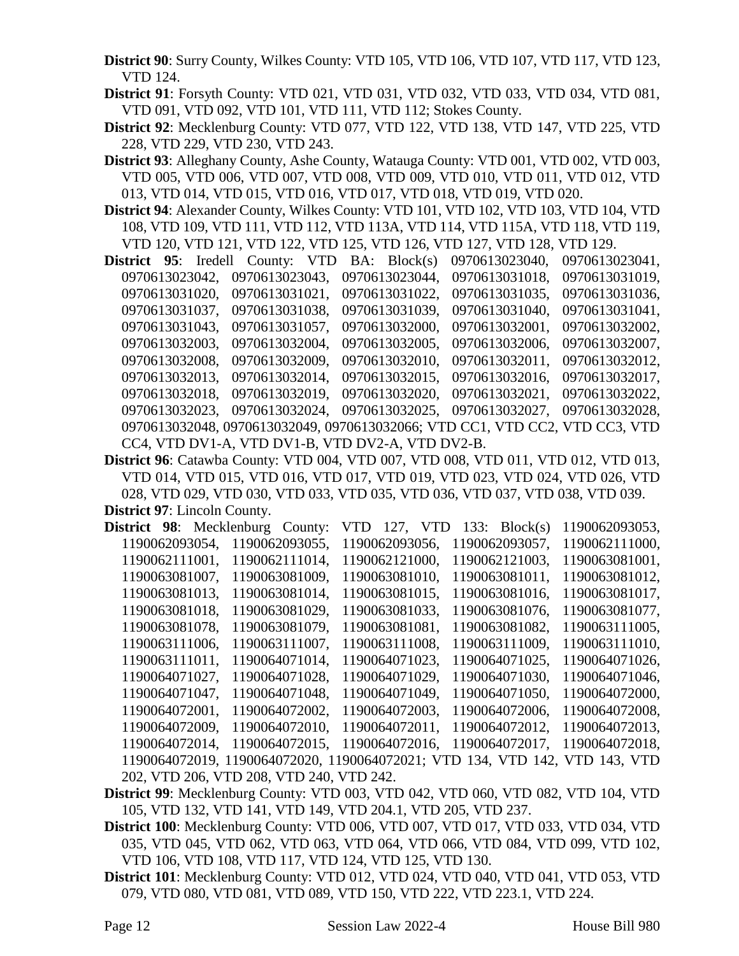**District 90**: Surry County, Wilkes County: VTD 105, VTD 106, VTD 107, VTD 117, VTD 123, VTD 124.

**District 91**: Forsyth County: VTD 021, VTD 031, VTD 032, VTD 033, VTD 034, VTD 081, VTD 091, VTD 092, VTD 101, VTD 111, VTD 112; Stokes County.

- **District 92**: Mecklenburg County: VTD 077, VTD 122, VTD 138, VTD 147, VTD 225, VTD 228, VTD 229, VTD 230, VTD 243.
- **District 93**: Alleghany County, Ashe County, Watauga County: VTD 001, VTD 002, VTD 003, VTD 005, VTD 006, VTD 007, VTD 008, VTD 009, VTD 010, VTD 011, VTD 012, VTD 013, VTD 014, VTD 015, VTD 016, VTD 017, VTD 018, VTD 019, VTD 020.
- **District 94**: Alexander County, Wilkes County: VTD 101, VTD 102, VTD 103, VTD 104, VTD 108, VTD 109, VTD 111, VTD 112, VTD 113A, VTD 114, VTD 115A, VTD 118, VTD 119, VTD 120, VTD 121, VTD 122, VTD 125, VTD 126, VTD 127, VTD 128, VTD 129.
- **District 95**: Iredell County: VTD BA: Block(s) 0970613023040, 0970613023041, 0970613023042, 0970613023043, 0970613023044, 0970613031018, 0970613031019, 0970613031020, 0970613031021, 0970613031022, 0970613031035, 0970613031036, 0970613031037, 0970613031038, 0970613031039, 0970613031040, 0970613031041, 0970613031043, 0970613031057, 0970613032000, 0970613032001, 0970613032002, 0970613032003, 0970613032004, 0970613032005, 0970613032006, 0970613032007, 0970613032008, 0970613032009, 0970613032010, 0970613032011, 0970613032012, 0970613032013, 0970613032014, 0970613032015, 0970613032016, 0970613032017, 0970613032018, 0970613032019, 0970613032020, 0970613032021, 0970613032022, 0970613032023, 0970613032024, 0970613032025, 0970613032027, 0970613032028, 0970613032048, 0970613032049, 0970613032066; VTD CC1, VTD CC2, VTD CC3, VTD CC4, VTD DV1-A, VTD DV1-B, VTD DV2-A, VTD DV2-B.
- **District 96**: Catawba County: VTD 004, VTD 007, VTD 008, VTD 011, VTD 012, VTD 013, VTD 014, VTD 015, VTD 016, VTD 017, VTD 019, VTD 023, VTD 024, VTD 026, VTD 028, VTD 029, VTD 030, VTD 033, VTD 035, VTD 036, VTD 037, VTD 038, VTD 039. **District 97**: Lincoln County.

| District 98: Mecklenburg County: |  |                                          | VTD 127, VTD   |  | 133: $Block(s)$                                                             | 1190062093053, |  |
|----------------------------------|--|------------------------------------------|----------------|--|-----------------------------------------------------------------------------|----------------|--|
| 1190062093054,                   |  | 1190062093055,                           | 1190062093056. |  | 1190062093057,                                                              | 1190062111000, |  |
| 1190062111001,                   |  | 1190062111014,                           | 1190062121000, |  | 1190062121003,                                                              | 1190063081001, |  |
| 1190063081007,                   |  | 1190063081009,                           | 1190063081010, |  | 1190063081011,                                                              | 1190063081012, |  |
| 1190063081013,                   |  | 1190063081014,                           | 1190063081015, |  | 1190063081016.                                                              | 1190063081017, |  |
| 1190063081018,                   |  | 1190063081029,                           | 1190063081033, |  | 1190063081076,                                                              | 1190063081077, |  |
| 1190063081078.                   |  | 1190063081079,                           | 1190063081081, |  | 1190063081082.                                                              | 1190063111005. |  |
| 1190063111006,                   |  | 1190063111007.                           | 1190063111008. |  | 1190063111009,                                                              | 1190063111010, |  |
| 1190063111011,                   |  | 1190064071014,                           | 1190064071023. |  | 1190064071025,                                                              | 1190064071026, |  |
| 1190064071027,                   |  | 1190064071028,                           | 1190064071029, |  | 1190064071030,                                                              | 1190064071046, |  |
| 1190064071047,                   |  | 1190064071048.                           | 1190064071049, |  | 1190064071050,                                                              | 1190064072000, |  |
| 1190064072001,                   |  | 1190064072002.                           | 1190064072003. |  | 1190064072006,                                                              | 1190064072008, |  |
| 1190064072009,                   |  | 1190064072010,                           | 1190064072011, |  | 1190064072012.                                                              | 1190064072013, |  |
| 1190064072014,                   |  | 1190064072015,                           | 1190064072016. |  | 1190064072017,                                                              | 1190064072018, |  |
|                                  |  |                                          |                |  | 1190064072019, 1190064072020, 1190064072021; VTD 134, VTD 142, VTD 143, VTD |                |  |
|                                  |  | 202, VTD 206, VTD 208, VTD 240, VTD 242. |                |  |                                                                             |                |  |

- **District 99**: Mecklenburg County: VTD 003, VTD 042, VTD 060, VTD 082, VTD 104, VTD 105, VTD 132, VTD 141, VTD 149, VTD 204.1, VTD 205, VTD 237.
- **District 100**: Mecklenburg County: VTD 006, VTD 007, VTD 017, VTD 033, VTD 034, VTD 035, VTD 045, VTD 062, VTD 063, VTD 064, VTD 066, VTD 084, VTD 099, VTD 102, VTD 106, VTD 108, VTD 117, VTD 124, VTD 125, VTD 130.
- **District 101**: Mecklenburg County: VTD 012, VTD 024, VTD 040, VTD 041, VTD 053, VTD 079, VTD 080, VTD 081, VTD 089, VTD 150, VTD 222, VTD 223.1, VTD 224.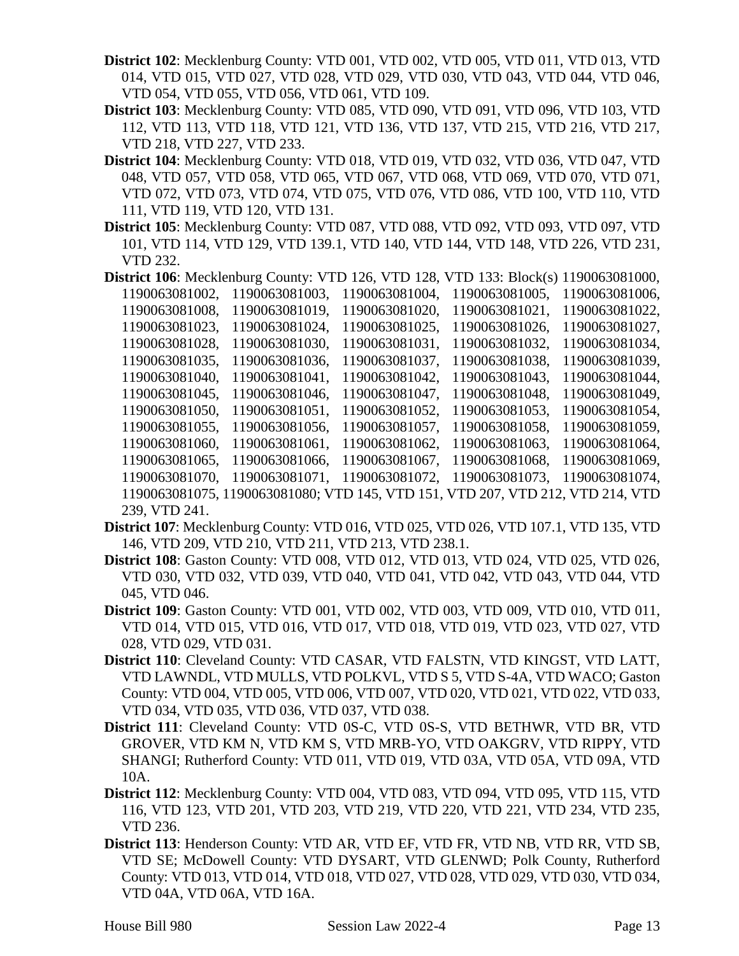- **District 102**: Mecklenburg County: VTD 001, VTD 002, VTD 005, VTD 011, VTD 013, VTD 014, VTD 015, VTD 027, VTD 028, VTD 029, VTD 030, VTD 043, VTD 044, VTD 046, VTD 054, VTD 055, VTD 056, VTD 061, VTD 109.
- **District 103**: Mecklenburg County: VTD 085, VTD 090, VTD 091, VTD 096, VTD 103, VTD 112, VTD 113, VTD 118, VTD 121, VTD 136, VTD 137, VTD 215, VTD 216, VTD 217, VTD 218, VTD 227, VTD 233.
- **District 104**: Mecklenburg County: VTD 018, VTD 019, VTD 032, VTD 036, VTD 047, VTD 048, VTD 057, VTD 058, VTD 065, VTD 067, VTD 068, VTD 069, VTD 070, VTD 071, VTD 072, VTD 073, VTD 074, VTD 075, VTD 076, VTD 086, VTD 100, VTD 110, VTD 111, VTD 119, VTD 120, VTD 131.
- **District 105**: Mecklenburg County: VTD 087, VTD 088, VTD 092, VTD 093, VTD 097, VTD 101, VTD 114, VTD 129, VTD 139.1, VTD 140, VTD 144, VTD 148, VTD 226, VTD 231, VTD 232.
- **District 106**: Mecklenburg County: VTD 126, VTD 128, VTD 133: Block(s) 1190063081000, 1190063081002, 1190063081003, 1190063081004, 1190063081005, 1190063081006, 1190063081008, 1190063081019, 1190063081020, 1190063081021, 1190063081022, 1190063081023, 1190063081024, 1190063081025, 1190063081026, 1190063081027, 1190063081028, 1190063081030, 1190063081031, 1190063081032, 1190063081034, 1190063081035, 1190063081036, 1190063081037, 1190063081038, 1190063081039, 1190063081040, 1190063081041, 1190063081042, 1190063081043, 1190063081044, 1190063081045, 1190063081046, 1190063081047, 1190063081048, 1190063081049, 1190063081050, 1190063081051, 1190063081052, 1190063081053, 1190063081054, 1190063081055, 1190063081056, 1190063081057, 1190063081058, 1190063081059, 1190063081060, 1190063081061, 1190063081062, 1190063081063, 1190063081064, 1190063081065, 1190063081066, 1190063081067, 1190063081068, 1190063081069, 1190063081070, 1190063081071, 1190063081072, 1190063081073, 1190063081074, 1190063081075, 1190063081080; VTD 145, VTD 151, VTD 207, VTD 212, VTD 214, VTD 239, VTD 241.
- **District 107**: Mecklenburg County: VTD 016, VTD 025, VTD 026, VTD 107.1, VTD 135, VTD 146, VTD 209, VTD 210, VTD 211, VTD 213, VTD 238.1.
- **District 108**: Gaston County: VTD 008, VTD 012, VTD 013, VTD 024, VTD 025, VTD 026, VTD 030, VTD 032, VTD 039, VTD 040, VTD 041, VTD 042, VTD 043, VTD 044, VTD 045, VTD 046.
- **District 109**: Gaston County: VTD 001, VTD 002, VTD 003, VTD 009, VTD 010, VTD 011, VTD 014, VTD 015, VTD 016, VTD 017, VTD 018, VTD 019, VTD 023, VTD 027, VTD 028, VTD 029, VTD 031.
- **District 110**: Cleveland County: VTD CASAR, VTD FALSTN, VTD KINGST, VTD LATT, VTD LAWNDL, VTD MULLS, VTD POLKVL, VTD S 5, VTD S-4A, VTD WACO; Gaston County: VTD 004, VTD 005, VTD 006, VTD 007, VTD 020, VTD 021, VTD 022, VTD 033, VTD 034, VTD 035, VTD 036, VTD 037, VTD 038.
- **District 111**: Cleveland County: VTD 0S-C, VTD 0S-S, VTD BETHWR, VTD BR, VTD GROVER, VTD KM N, VTD KM S, VTD MRB-YO, VTD OAKGRV, VTD RIPPY, VTD SHANGI; Rutherford County: VTD 011, VTD 019, VTD 03A, VTD 05A, VTD 09A, VTD 10A.
- **District 112**: Mecklenburg County: VTD 004, VTD 083, VTD 094, VTD 095, VTD 115, VTD 116, VTD 123, VTD 201, VTD 203, VTD 219, VTD 220, VTD 221, VTD 234, VTD 235, VTD 236.
- **District 113**: Henderson County: VTD AR, VTD EF, VTD FR, VTD NB, VTD RR, VTD SB, VTD SE; McDowell County: VTD DYSART, VTD GLENWD; Polk County, Rutherford County: VTD 013, VTD 014, VTD 018, VTD 027, VTD 028, VTD 029, VTD 030, VTD 034, VTD 04A, VTD 06A, VTD 16A.